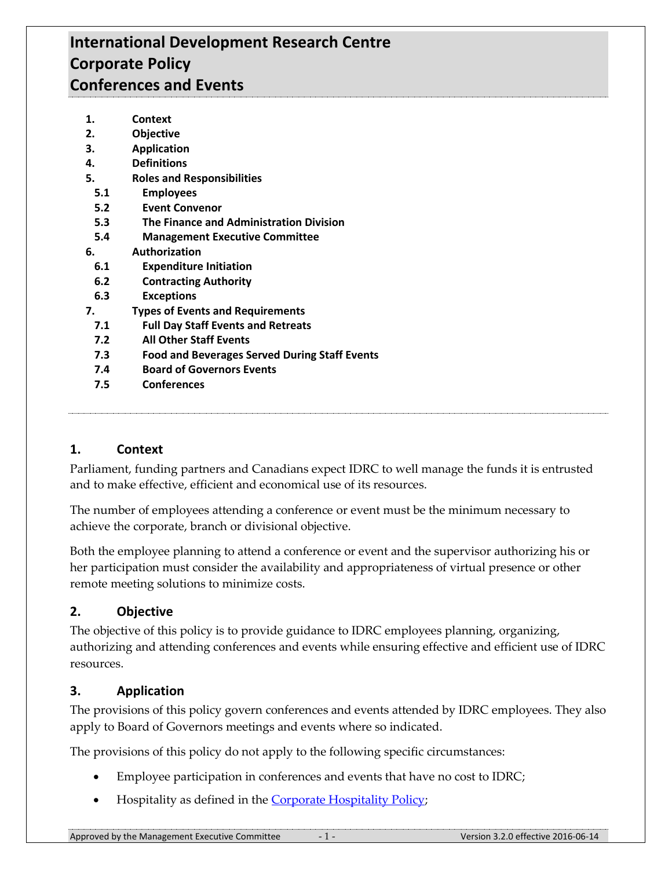## **International Development Research Centre Corporate Policy Conferences and Events**

- **1. [Context](#page-0-0)**
- **2. [Objective](#page-0-1)**
- **3. [Application](#page-0-2)**
- **4. [Definitions](#page-1-0)**
- **5. [Roles and Responsibilities](#page-1-1)**
- **5.1 [Employees](#page-1-2)**
- **5.2 [Event Convenor](#page-1-3)**
- **5.3 [The Finance and Administration Division](#page-2-0)**
- **5.4 [Management Executive Committee](#page-2-1)**
- **6. [Authorization](#page-2-2)**
	- **6.1 [Expenditure Initiation](#page-2-3)**
- **6.2 [Contracting Authority](#page-2-4)**
- **6.3 [Exceptions](#page-2-5)**
- **7. [Types of Events and Requirements](#page-3-0)**
- **7.1 [Full Day Staff Events and Retreats](#page-3-1)**
- **7.2 [All Other Staff Events](#page-3-2)**
- **7.3 [Food and Beverages Served During Staff Events](#page-3-3)**
- **7.4 [Board of Governors Events](#page-3-4)**
- **7.5 [Conferences](#page-3-5)**

#### <span id="page-0-0"></span>**1. Context**

Parliament, funding partners and Canadians expect IDRC to well manage the funds it is entrusted and to make effective, efficient and economical use of its resources.

The number of employees attending a conference or event must be the minimum necessary to achieve the corporate, branch or divisional objective.

Both the employee planning to attend a conference or event and the supervisor authorizing his or her participation must consider the availability and appropriateness of virtual presence or other remote meeting solutions to minimize costs.

#### <span id="page-0-1"></span>**2. Objective**

The objective of this policy is to provide guidance to IDRC employees planning, organizing, authorizing and attending conferences and events while ensuring effective and efficient use of IDRC resources.

#### <span id="page-0-2"></span>**3. Application**

The provisions of this policy govern conferences and events attended by IDRC employees. They also apply to Board of Governors meetings and events where so indicated.

The provisions of this policy do not apply to the following specific circumstances:

- Employee participation in conferences and events that have no cost to IDRC;
- Hospitality as defined in the [Corporate Hospitality Policy;](http://www.idrc.ca/EN/AboutUs/Accountability/Pages/travel-and-hospitality.aspx)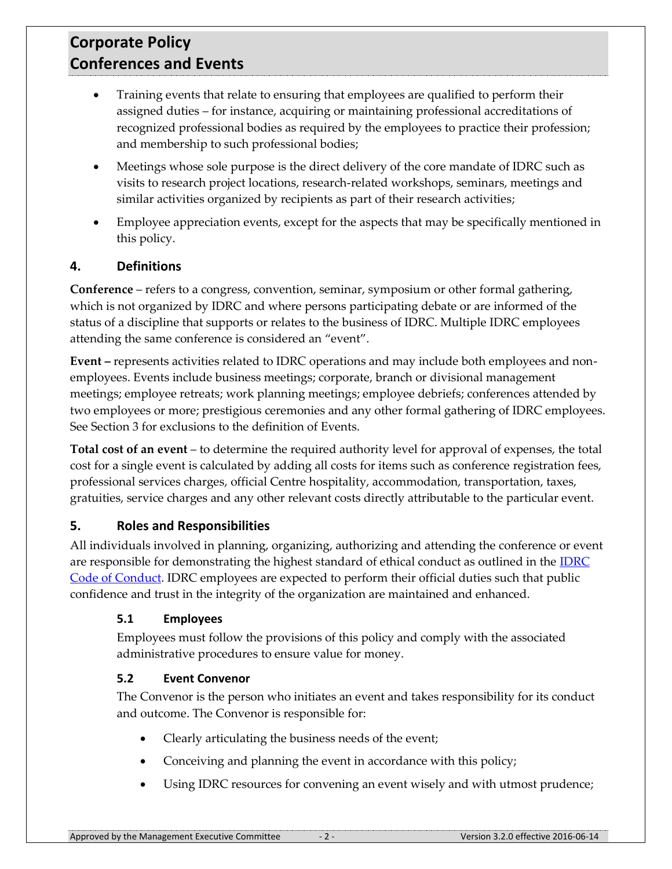- Training events that relate to ensuring that employees are qualified to perform their assigned duties – for instance, acquiring or maintaining professional accreditations of recognized professional bodies as required by the employees to practice their profession; and membership to such professional bodies;
- Meetings whose sole purpose is the direct delivery of the core mandate of IDRC such as visits to research project locations, research-related workshops, seminars, meetings and similar activities organized by recipients as part of their research activities;
- Employee appreciation events, except for the aspects that may be specifically mentioned in this policy.

## <span id="page-1-0"></span>**4. Definitions**

**Conference** – refers to a congress, convention, seminar, symposium or other formal gathering, which is not organized by IDRC and where persons participating debate or are informed of the status of a discipline that supports or relates to the business of IDRC. Multiple IDRC employees attending the same conference is considered an "event".

**Event –** represents activities related to IDRC operations and may include both employees and nonemployees. Events include business meetings; corporate, branch or divisional management meetings; employee retreats; work planning meetings; employee debriefs; conferences attended by two employees or more; prestigious ceremonies and any other formal gathering of IDRC employees. See Section 3 for exclusions to the definition of Events.

**Total cost of an event** – to determine the required authority level for approval of expenses, the total cost for a single event is calculated by adding all costs for items such as conference registration fees, professional services charges, official Centre hospitality, accommodation, transportation, taxes, gratuities, service charges and any other relevant costs directly attributable to the particular event.

## <span id="page-1-1"></span>**5. Roles and Responsibilities**

All individuals involved in planning, organizing, authorizing and attending the conference or event are responsible for demonstrating the highest standard of ethical conduct as outlined in the **IDRC** [Code of Conduct.](http://www.idrc.ca/EN/Documents/Code_of_Conduct.pdf) IDRC employees are expected to perform their official duties such that public confidence and trust in the integrity of the organization are maintained and enhanced.

#### <span id="page-1-2"></span>**5.1 Employees**

Employees must follow the provisions of this policy and comply with the associated administrative procedures to ensure value for money.

## <span id="page-1-3"></span>**5.2 Event Convenor**

The Convenor is the person who initiates an event and takes responsibility for its conduct and outcome. The Convenor is responsible for:

- Clearly articulating the business needs of the event;
- Conceiving and planning the event in accordance with this policy;
- Using IDRC resources for convening an event wisely and with utmost prudence;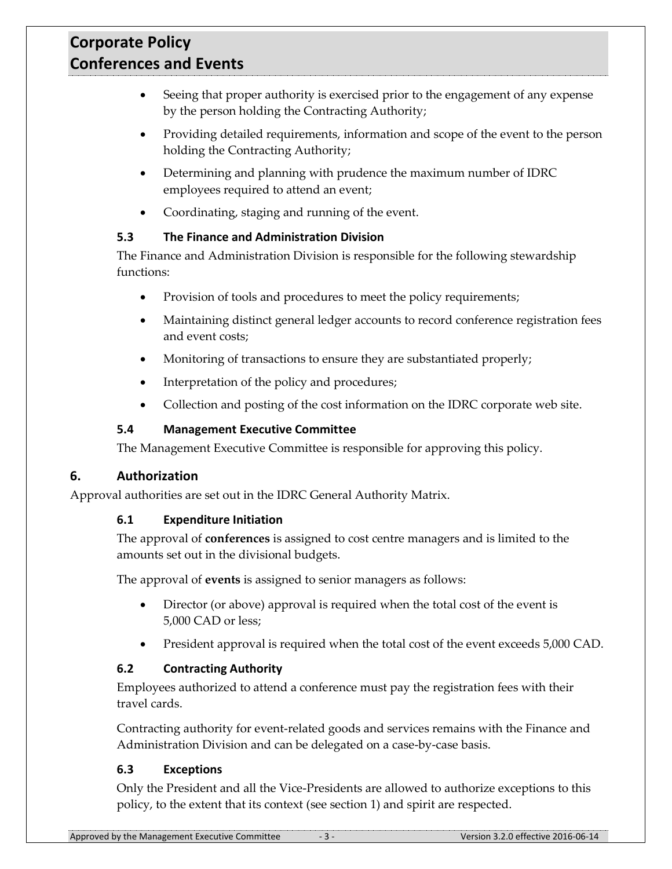- Seeing that proper authority is exercised prior to the engagement of any expense by the person holding the Contracting Authority;
- Providing detailed requirements, information and scope of the event to the person holding the Contracting Authority;
- Determining and planning with prudence the maximum number of IDRC employees required to attend an event;
- Coordinating, staging and running of the event.

## <span id="page-2-0"></span>**5.3 The Finance and Administration Division**

The Finance and Administration Division is responsible for the following stewardship functions:

- Provision of tools and procedures to meet the policy requirements;
- Maintaining distinct general ledger accounts to record conference registration fees and event costs;
- Monitoring of transactions to ensure they are substantiated properly;
- Interpretation of the policy and procedures;
- Collection and posting of the cost information on the IDRC corporate web site.

#### <span id="page-2-1"></span>**5.4 Management Executive Committee**

The Management Executive Committee is responsible for approving this policy.

## <span id="page-2-2"></span>**6. Authorization**

<span id="page-2-3"></span>Approval authorities are set out in the IDRC General Authority Matrix.

#### **6.1 Expenditure Initiation**

The approval of **conferences** is assigned to cost centre managers and is limited to the amounts set out in the divisional budgets.

The approval of **events** is assigned to senior managers as follows:

- Director (or above) approval is required when the total cost of the event is 5,000 CAD or less;
- President approval is required when the total cost of the event exceeds 5,000 CAD.

## <span id="page-2-4"></span>**6.2 Contracting Authority**

Employees authorized to attend a conference must pay the registration fees with their travel cards.

Contracting authority for event-related goods and services remains with the Finance and Administration Division and can be delegated on a case-by-case basis.

## <span id="page-2-5"></span>**6.3 Exceptions**

Only the President and all the Vice-Presidents are allowed to authorize exceptions to this policy, to the extent that its context (see section 1) and spirit are respected.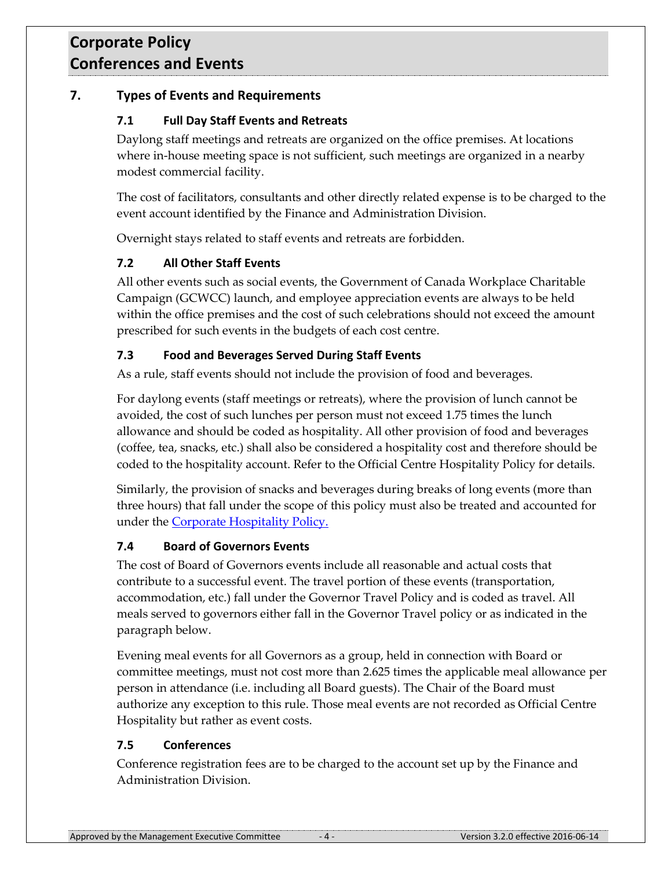## <span id="page-3-1"></span><span id="page-3-0"></span>**7. Types of Events and Requirements**

## **7.1 Full Day Staff Events and Retreats**

Daylong staff meetings and retreats are organized on the office premises. At locations where in-house meeting space is not sufficient, such meetings are organized in a nearby modest commercial facility.

The cost of facilitators, consultants and other directly related expense is to be charged to the event account identified by the Finance and Administration Division.

Overnight stays related to staff events and retreats are forbidden.

## <span id="page-3-2"></span>**7.2 All Other Staff Events**

All other events such as social events, the Government of Canada Workplace Charitable Campaign (GCWCC) launch, and employee appreciation events are always to be held within the office premises and the cost of such celebrations should not exceed the amount prescribed for such events in the budgets of each cost centre.

#### <span id="page-3-3"></span>**7.3 Food and Beverages Served During Staff Events**

As a rule, staff events should not include the provision of food and beverages.

For daylong events (staff meetings or retreats), where the provision of lunch cannot be avoided, the cost of such lunches per person must not exceed 1.75 times the lunch allowance and should be coded as hospitality. All other provision of food and beverages (coffee, tea, snacks, etc.) shall also be considered a hospitality cost and therefore should be coded to the hospitality account. Refer to the Official Centre Hospitality Policy for details.

Similarly, the provision of snacks and beverages during breaks of long events (more than three hours) that fall under the scope of this policy must also be treated and accounted for under the [Corporate Hospitality Policy.](http://www.idrc.ca/EN/AboutUs/Accountability/Pages/travel-and-hospitality.aspx)

## <span id="page-3-4"></span>**7.4 Board of Governors Events**

The cost of Board of Governors events include all reasonable and actual costs that contribute to a successful event. The travel portion of these events (transportation, accommodation, etc.) fall under the Governor Travel Policy and is coded as travel. All meals served to governors either fall in the Governor Travel policy or as indicated in the paragraph below.

Evening meal events for all Governors as a group, held in connection with Board or committee meetings, must not cost more than 2.625 times the applicable meal allowance per person in attendance (i.e. including all Board guests). The Chair of the Board must authorize any exception to this rule. Those meal events are not recorded as Official Centre Hospitality but rather as event costs.

## <span id="page-3-5"></span>**7.5 Conferences**

Conference registration fees are to be charged to the account set up by the Finance and Administration Division.